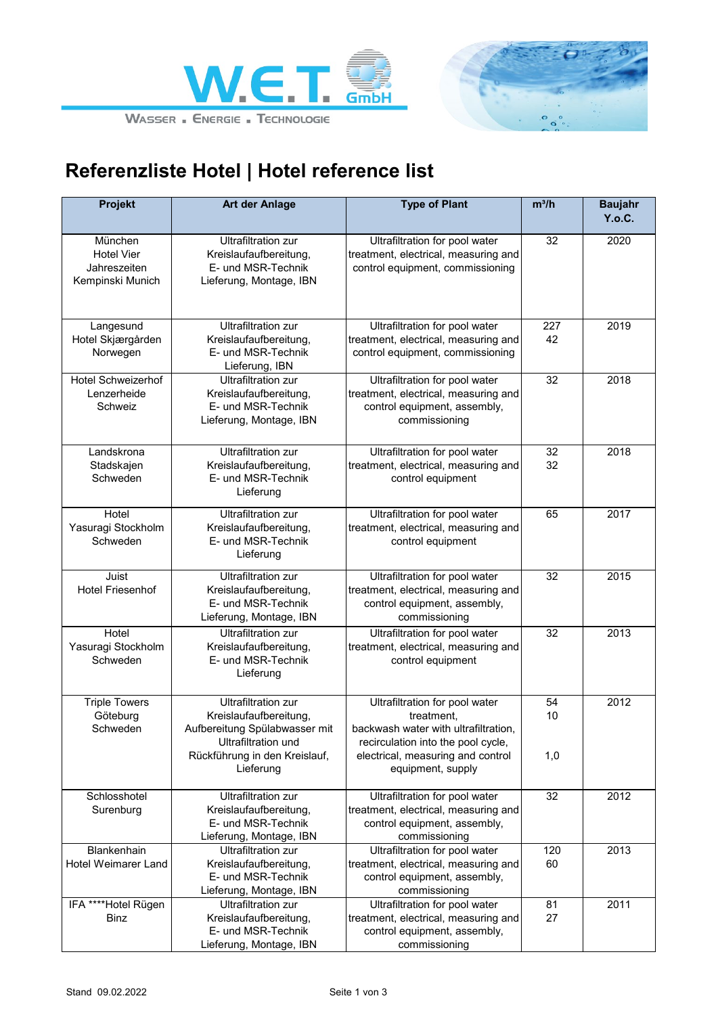



## **Referenzliste Hotel | Hotel reference list**

| <b>Projekt</b>                                                   | Art der Anlage                                                                                                                                | <b>Type of Plant</b>                                                                                                                                            | $m^3/h$         | <b>Baujahr</b><br>Y.o.C. |
|------------------------------------------------------------------|-----------------------------------------------------------------------------------------------------------------------------------------------|-----------------------------------------------------------------------------------------------------------------------------------------------------------------|-----------------|--------------------------|
| München<br><b>Hotel Vier</b><br>Jahreszeiten<br>Kempinski Munich | <b>Ultrafiltration zur</b><br>Kreislaufaufbereitung,<br>E- und MSR-Technik<br>Lieferung, Montage, IBN                                         | Ultrafiltration for pool water<br>treatment, electrical, measuring and<br>control equipment, commissioning                                                      | 32              | 2020                     |
| Langesund<br>Hotel Skjærgården<br>Norwegen                       | <b>Ultrafiltration zur</b><br>Kreislaufaufbereitung,<br>E- und MSR-Technik<br>Lieferung, IBN                                                  | Ultrafiltration for pool water<br>treatment, electrical, measuring and<br>control equipment, commissioning                                                      | 227<br>42       | 2019                     |
| <b>Hotel Schweizerhof</b><br>Lenzerheide<br>Schweiz              | <b>Ultrafiltration zur</b><br>Kreislaufaufbereitung,<br>E- und MSR-Technik<br>Lieferung, Montage, IBN                                         | Ultrafiltration for pool water<br>treatment, electrical, measuring and<br>control equipment, assembly,<br>commissioning                                         | 32              | 2018                     |
| Landskrona<br>Stadskajen<br>Schweden                             | <b>Ultrafiltration zur</b><br>Kreislaufaufbereitung,<br>E- und MSR-Technik<br>Lieferung                                                       | Ultrafiltration for pool water<br>treatment, electrical, measuring and<br>control equipment                                                                     | 32<br>32        | 2018                     |
| Hotel<br>Yasuragi Stockholm<br>Schweden                          | <b>Ultrafiltration zur</b><br>Kreislaufaufbereitung,<br>E- und MSR-Technik<br>Lieferung                                                       | Ultrafiltration for pool water<br>treatment, electrical, measuring and<br>control equipment                                                                     | 65              | 2017                     |
| Juist<br><b>Hotel Friesenhof</b>                                 | <b>Ultrafiltration zur</b><br>Kreislaufaufbereitung,<br>E- und MSR-Technik<br>Lieferung, Montage, IBN                                         | Ultrafiltration for pool water<br>treatment, electrical, measuring and<br>control equipment, assembly,<br>commissioning                                         | 32              | 2015                     |
| Hotel<br>Yasuragi Stockholm<br>Schweden                          | <b>Ultrafiltration zur</b><br>Kreislaufaufbereitung,<br>E- und MSR-Technik<br>Lieferung                                                       | Ultrafiltration for pool water<br>treatment, electrical, measuring and<br>control equipment                                                                     | 32              | 2013                     |
| <b>Triple Towers</b><br>Göteburg<br>Schweden                     | <b>Ultrafiltration zur</b><br>Kreislaufaufbereitung,<br>Aufbereitung Spülabwasser mit<br>Ultrafiltration und<br>Rückführung in den Kreislauf, | Ultrafiltration for pool water<br>treatment,<br>backwash water with ultrafiltration,<br>recirculation into the pool cycle,<br>electrical, measuring and control | 54<br>10<br>1,0 | 2012                     |
|                                                                  | Lieferung                                                                                                                                     | equipment, supply                                                                                                                                               |                 |                          |
| Schlosshotel<br>Surenburg                                        | <b>Ultrafiltration zur</b><br>Kreislaufaufbereitung,<br>E- und MSR-Technik<br>Lieferung, Montage, IBN                                         | Ultrafiltration for pool water<br>treatment, electrical, measuring and<br>control equipment, assembly,<br>commissioning                                         | 32              | 2012                     |
| Blankenhain<br><b>Hotel Weimarer Land</b>                        | <b>Ultrafiltration zur</b><br>Kreislaufaufbereitung,<br>E- und MSR-Technik<br>Lieferung, Montage, IBN                                         | Ultrafiltration for pool water<br>treatment, electrical, measuring and<br>control equipment, assembly,<br>commissioning                                         | 120<br>60       | 2013                     |
| IFA ****Hotel Rügen<br><b>Binz</b>                               | <b>Ultrafiltration zur</b><br>Kreislaufaufbereitung,<br>E- und MSR-Technik<br>Lieferung, Montage, IBN                                         | Ultrafiltration for pool water<br>treatment, electrical, measuring and<br>control equipment, assembly,<br>commissioning                                         | 81<br>27        | 2011                     |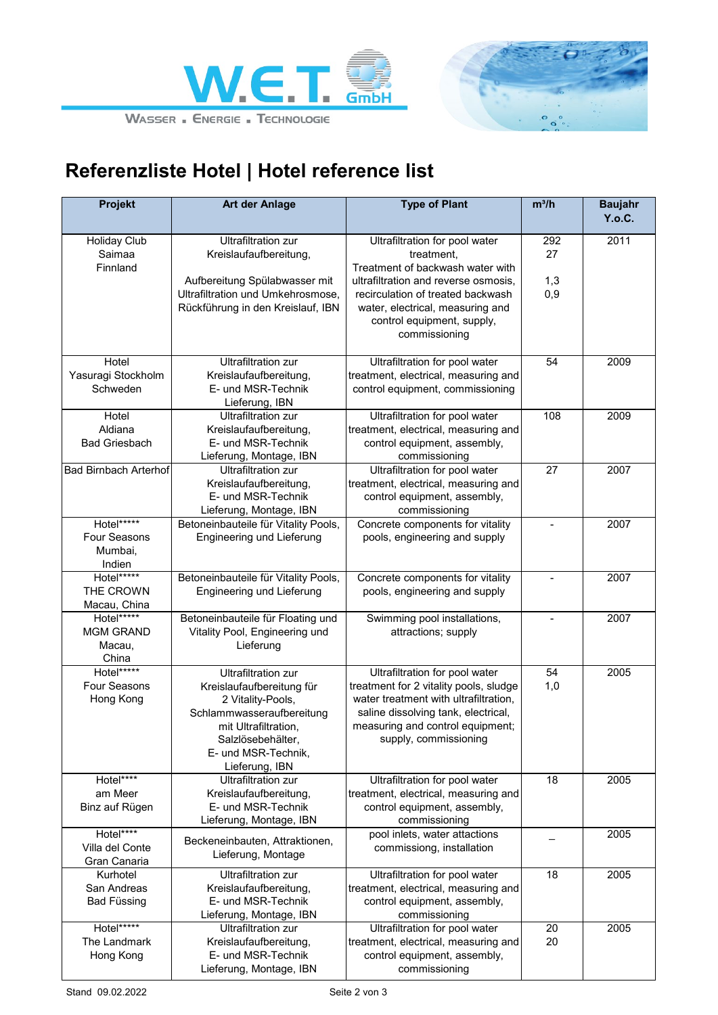



## **Referenzliste Hotel | Hotel reference list**

| Projekt                      | <b>Art der Anlage</b>                | <b>Type of Plant</b>                           | $m^3/h$ | <b>Baujahr</b> |
|------------------------------|--------------------------------------|------------------------------------------------|---------|----------------|
|                              |                                      |                                                |         | Y.o.C.         |
| <b>Holiday Club</b>          | <b>Ultrafiltration zur</b>           | Ultrafiltration for pool water                 | 292     | 2011           |
| Saimaa                       | Kreislaufaufbereitung,               | treatment,                                     | 27      |                |
| Finnland                     |                                      | Treatment of backwash water with               |         |                |
|                              | Aufbereitung Spülabwasser mit        | ultrafiltration and reverse osmosis,           | 1,3     |                |
|                              | Ultrafiltration und Umkehrosmose,    | recirculation of treated backwash              | 0,9     |                |
|                              | Rückführung in den Kreislauf, IBN    | water, electrical, measuring and               |         |                |
|                              |                                      | control equipment, supply,                     |         |                |
|                              |                                      | commissioning                                  |         |                |
| Hotel                        | <b>Ultrafiltration zur</b>           | Ultrafiltration for pool water                 | 54      | 2009           |
| Yasuragi Stockholm           | Kreislaufaufbereitung,               | treatment, electrical, measuring and           |         |                |
| Schweden                     | E- und MSR-Technik                   | control equipment, commissioning               |         |                |
|                              | Lieferung, IBN                       |                                                |         |                |
| Hotel                        | <b>Ultrafiltration zur</b>           | Ultrafiltration for pool water                 | 108     | 2009           |
| Aldiana                      | Kreislaufaufbereitung,               | treatment, electrical, measuring and           |         |                |
| <b>Bad Griesbach</b>         | E- und MSR-Technik                   | control equipment, assembly,                   |         |                |
|                              | Lieferung, Montage, IBN              | commissioning                                  |         |                |
| <b>Bad Birnbach Arterhof</b> | <b>Ultrafiltration zur</b>           | Ultrafiltration for pool water                 | 27      | 2007           |
|                              | Kreislaufaufbereitung,               | treatment, electrical, measuring and           |         |                |
|                              | E- und MSR-Technik                   | control equipment, assembly,                   |         |                |
|                              | Lieferung, Montage, IBN              | commissioning                                  |         |                |
| Hotel*****                   | Betoneinbauteile für Vitality Pools, | Concrete components for vitality               |         | 2007           |
| <b>Four Seasons</b>          | Engineering und Lieferung            | pools, engineering and supply                  |         |                |
| Mumbai,                      |                                      |                                                |         |                |
| Indien<br>Hotel*****         | Betoneinbauteile für Vitality Pools, | Concrete components for vitality               |         | 2007           |
| THE CROWN                    | Engineering und Lieferung            | pools, engineering and supply                  |         |                |
| Macau, China                 |                                      |                                                |         |                |
| Hotel*****                   | Betoneinbauteile für Floating und    | Swimming pool installations,                   |         | 2007           |
| <b>MGM GRAND</b>             | Vitality Pool, Engineering und       | attractions; supply                            |         |                |
| Macau,                       | Lieferung                            |                                                |         |                |
| China                        |                                      |                                                |         |                |
| Hotel*****                   | <b>Ultrafiltration zur</b>           | Ultrafiltration for pool water                 | 54      | 2005           |
| Four Seasons                 | Kreislaufaufbereitung für            | treatment for 2 vitality pools, sludge         | 1,0     |                |
| Hong Kong                    | 2 Vitality-Pools,                    | water treatment with ultrafiltration,          |         |                |
|                              | Schlammwasseraufbereitung            | saline dissolving tank, electrical,            |         |                |
|                              | mit Ultrafiltration,                 | measuring and control equipment;               |         |                |
|                              | Salzlösebehälter,                    | supply, commissioning                          |         |                |
|                              | E- und MSR-Technik,                  |                                                |         |                |
|                              | Lieferung, IBN                       |                                                |         |                |
| Hotel****                    | <b>Ultrafiltration zur</b>           | Ultrafiltration for pool water                 | 18      | 2005           |
| am Meer                      | Kreislaufaufbereitung,               | treatment, electrical, measuring and           |         |                |
| Binz auf Rügen               | E- und MSR-Technik                   | control equipment, assembly,                   |         |                |
| Hotel****                    | Lieferung, Montage, IBN              | commissioning<br>pool inlets, water attactions |         | 2005           |
| Villa del Conte              | Beckeneinbauten, Attraktionen,       | commissiong, installation                      |         |                |
| Gran Canaria                 | Lieferung, Montage                   |                                                |         |                |
| Kurhotel                     | <b>Ultrafiltration zur</b>           | Ultrafiltration for pool water                 | 18      | 2005           |
| San Andreas                  | Kreislaufaufbereitung,               | treatment, electrical, measuring and           |         |                |
| Bad Füssing                  | E- und MSR-Technik                   | control equipment, assembly,                   |         |                |
|                              | Lieferung, Montage, IBN              | commissioning                                  |         |                |
| Hotel*****                   | <b>Ultrafiltration zur</b>           | Ultrafiltration for pool water                 | 20      | 2005           |
| The Landmark                 | Kreislaufaufbereitung,               | treatment, electrical, measuring and           | 20      |                |
| Hong Kong                    | E- und MSR-Technik                   | control equipment, assembly,                   |         |                |
|                              | Lieferung, Montage, IBN              | commissioning                                  |         |                |